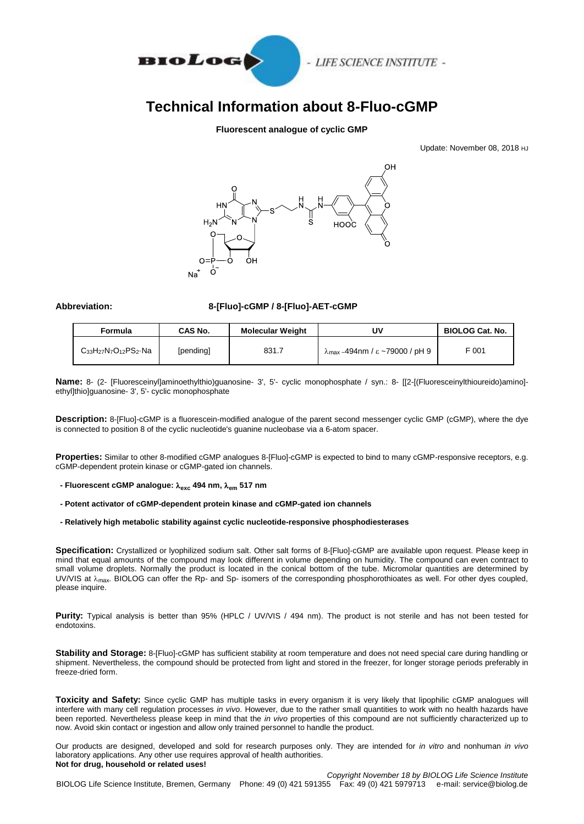

# **Technical Information about 8-Fluo-cGMP**

## **Fluorescent analogue of cyclic GMP**

Update: November 08, 2018 HJ



### **Abbreviation: 8-[Fluo]-cGMP / 8-[Fluo]-AET-cGMP**

| Formula                         | CAS No.   | <b>Molecular Weight</b> | Uν                                                          | <b>BIOLOG Cat. No.</b> |
|---------------------------------|-----------|-------------------------|-------------------------------------------------------------|------------------------|
| $C_{33}H_{27}N_7O_{12}PS_2$ -Na | [pending] | 831.7                   | $\lambda_{\text{max}}$ <sub>~</sub> 494nm / ε ~79000 / pH 9 | F 001                  |

**Name:** 8- (2- [Fluoresceinyl]aminoethylthio)guanosine- 3', 5'- cyclic monophosphate / syn.: 8- [[2-[(Fluoresceinylthioureido)amino] ethyl]thio]guanosine- 3', 5'- cyclic monophosphate

**Description:** 8-[Fluo]-cGMP is a fluorescein-modified analogue of the parent second messenger cyclic GMP (cGMP), where the dye is connected to position 8 of the cyclic nucleotide's guanine nucleobase via a 6-atom spacer.

**Properties:** Similar to other 8-modified cGMP analogues 8-[Fluo]-cGMP is expected to bind to many cGMP-responsive receptors, e.g. cGMP-dependent protein kinase or cGMP-gated ion channels.

- **- Fluorescent cGMP analogue: exc 494 nm, em 517 nm**
- **- Potent activator of cGMP-dependent protein kinase and cGMP-gated ion channels**
- **- Relatively high metabolic stability against cyclic nucleotide-responsive phosphodiesterases**

**Specification:** Crystallized or lyophilized sodium salt. Other salt forms of 8-[Fluo]-cGMP are available upon request. Please keep in mind that equal amounts of the compound may look different in volume depending on humidity. The compound can even contract to small volume droplets. Normally the product is located in the conical bottom of the tube. Micromolar quantities are determined by UV/VIS at  $\lambda_{\text{max}}$ . BIOLOG can offer the Rp- and Sp- isomers of the corresponding phosphorothioates as well. For other dyes coupled, please inquire.

**Purity:** Typical analysis is better than 95% (HPLC / UV/VIS / 494 nm). The product is not sterile and has not been tested for endotoxins.

**Stability and Storage:** 8-[Fluo]-cGMP has sufficient stability at room temperature and does not need special care during handling or shipment. Nevertheless, the compound should be protected from light and stored in the freezer, for longer storage periods preferably in freeze-dried form.

**Toxicity and Safety:** Since cyclic GMP has multiple tasks in every organism it is very likely that lipophilic cGMP analogues will interfere with many cell regulation processes *in vivo*. However, due to the rather small quantities to work with no health hazards have been reported. Nevertheless please keep in mind that the *in vivo* properties of this compound are not sufficiently characterized up to now. Avoid skin contact or ingestion and allow only trained personnel to handle the product.

Our products are designed, developed and sold for research purposes only. They are intended for *in vitro* and nonhuman *in vivo* laboratory applications. Any other use requires approval of health authorities. **Not for drug, household or related uses!**

*Copyright November 18 by BIOLOG Life Science Institute* BIOLOG Life Science Institute, Bremen, Germany Phone: 49 (0) 421 591355 Fax: 49 (0) 421 5979713 e-mail: service@biolog.de